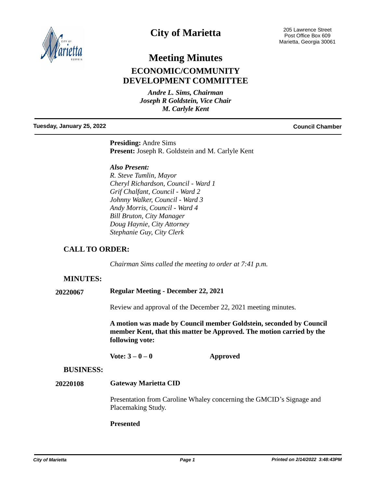

## **City of Marietta**

# **Meeting Minutes ECONOMIC/COMMUNITY DEVELOPMENT COMMITTEE**

*Andre L. Sims, Chairman Joseph R Goldstein, Vice Chair M. Carlyle Kent*

#### **Tuesday, January 25, 2022 Council Chamber**

**Presiding:** Andre Sims **Present:** Joseph R. Goldstein and M. Carlyle Kent

*Also Present:*

*R. Steve Tumlin, Mayor Cheryl Richardson, Council - Ward 1 Grif Chalfant, Council - Ward 2 Johnny Walker, Council - Ward 3 Andy Morris, Council - Ward 4 Bill Bruton, City Manager Doug Haynie, City Attorney Stephanie Guy, City Clerk*

### **CALL TO ORDER:**

*Chairman Sims called the meeting to order at 7:41 p.m.*

#### **MINUTES:**

**20220067 Regular Meeting - December 22, 2021**

Review and approval of the December 22, 2021 meeting minutes.

**A motion was made by Council member Goldstein, seconded by Council member Kent, that this matter be Approved. The motion carried by the following vote:**

**Vote: 3 – 0 – 0 Approved**

#### **BUSINESS:**

#### **Gateway Marietta CID 20220108**

Presentation from Caroline Whaley concerning the GMCID's Signage and Placemaking Study.

#### **Presented**